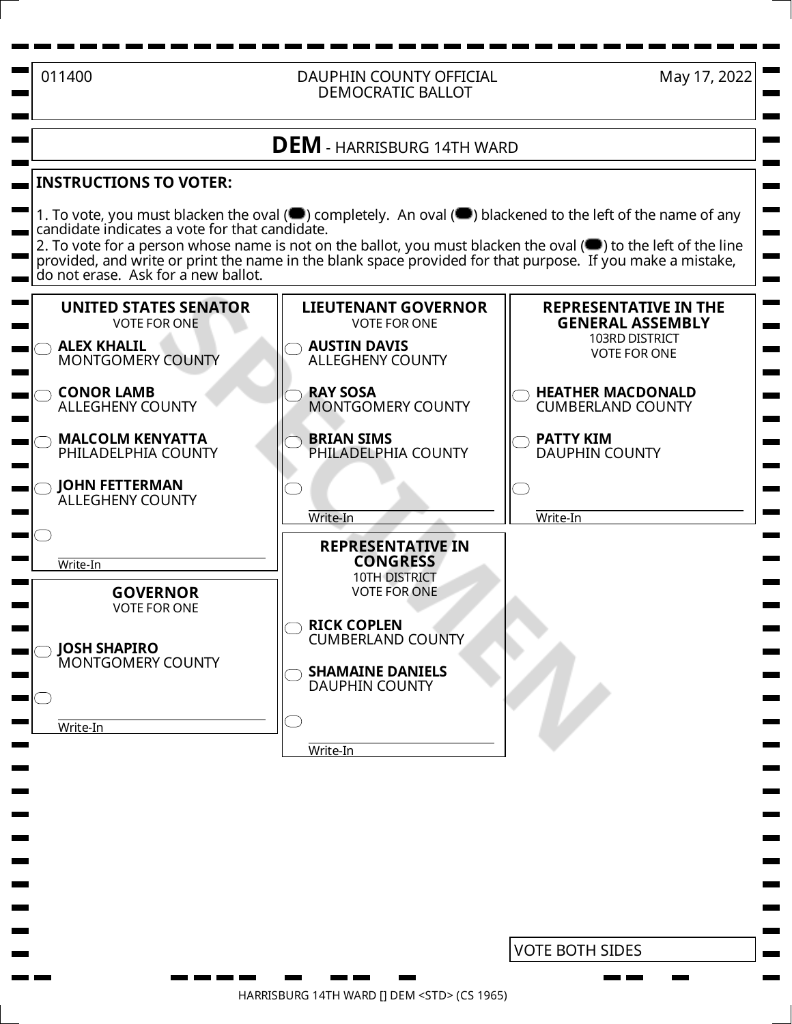## 011400 DAUPHIN COUNTY OFFICIAL DEMOCRATIC BALLOT

May 17, 2022

## **DEM** - HARRISBURG 14TH WARD

## **INSTRUCTIONS TO VOTER:**

1. To vote, you must blacken the oval ( $\blacksquare$ ) completely. An oval ( $\blacksquare$ ) blackened to the left of the name of any candidate indicates a vote for that candidate.

2. To vote for a person whose name is not on the ballot, you must blacken the oval ( $\bullet$ ) to the left of the line provided, and write or print the name in the blank space provided for that purpose. If you make a mistake, .<br>do not erase. Ask for a new ballot.